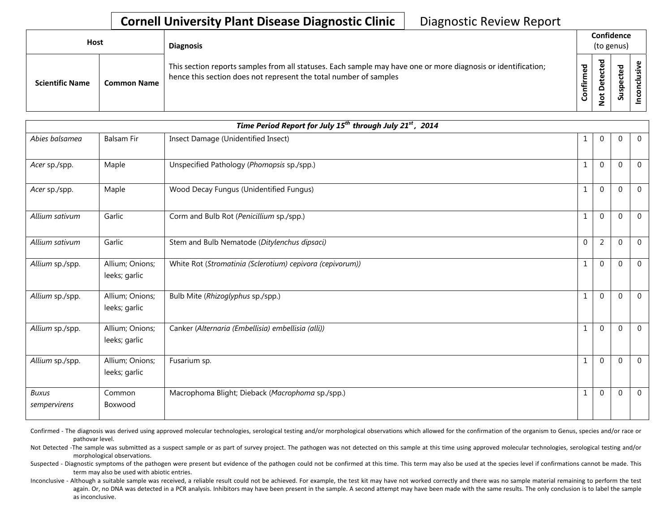| Host                   |                    | <b>Diagnosis</b>                                                                                                                                                                   |                  | Confidence<br>(to genus)         |                        |   |
|------------------------|--------------------|------------------------------------------------------------------------------------------------------------------------------------------------------------------------------------|------------------|----------------------------------|------------------------|---|
| <b>Scientific Name</b> | <b>Common Name</b> | This section reports samples from all statuses. Each sample may have one or more diagnosis or identification;<br>hence this section does not represent the total number of samples | ᇴ<br>ε<br>onfiri | ᅙ<br>ı<br>ں<br>ይ<br>۵<br>پ<br>ءِ | ted<br><u>وء</u><br>ഄഁ | ω |

| Time Period Report for July 15 <sup>th</sup> through July 21 <sup>st</sup> , 2014 |                                  |                                                           |              |                |                |                |  |  |
|-----------------------------------------------------------------------------------|----------------------------------|-----------------------------------------------------------|--------------|----------------|----------------|----------------|--|--|
| Abies balsamea                                                                    | <b>Balsam Fir</b>                | Insect Damage (Unidentified Insect)                       | 1            | 0              | $\mathbf 0$    | $\overline{0}$ |  |  |
| Acer sp./spp.                                                                     | Maple                            | Unspecified Pathology (Phomopsis sp./spp.)                | 1            | $\overline{0}$ | $\Omega$       | $\overline{0}$ |  |  |
| Acer sp./spp.                                                                     | Maple                            | Wood Decay Fungus (Unidentified Fungus)                   | 1            | $\overline{0}$ | $\mathbf 0$    | $\mathbf 0$    |  |  |
| Allium sativum                                                                    | Garlic                           | Corm and Bulb Rot (Penicillium sp./spp.)                  | 1            | $\Omega$       | $\mathbf 0$    | $\overline{0}$ |  |  |
| Allium sativum                                                                    | Garlic                           | Stem and Bulb Nematode (Ditylenchus dipsaci)              | $\Omega$     | $\overline{2}$ | $\Omega$       | $\mathbf{0}$   |  |  |
| Allium sp./spp.                                                                   | Allium; Onions;<br>leeks; garlic | White Rot (Stromatinia (Sclerotium) cepivora (cepivorum)) | $\mathbf{1}$ | $\overline{0}$ | $\Omega$       | $\overline{0}$ |  |  |
| Allium sp./spp.                                                                   | Allium; Onions;<br>leeks; garlic | Bulb Mite (Rhizoglyphus sp./spp.)                         | $\mathbf{1}$ | $\overline{0}$ | $\overline{0}$ | $\overline{0}$ |  |  |
| Allium sp./spp.                                                                   | Allium; Onions;<br>leeks; garlic | Canker (Alternaria (Embellisia) embellisia (alli))        | 1            | $\overline{0}$ | $\mathbf{0}$   | $\overline{0}$ |  |  |
| Allium sp./spp.                                                                   | Allium; Onions;<br>leeks; garlic | Fusarium sp.                                              | 1            | $\overline{0}$ | $\mathbf 0$    | $\overline{0}$ |  |  |
| <b>Buxus</b><br>sempervirens                                                      | Common<br>Boxwood                | Macrophoma Blight; Dieback (Macrophoma sp./spp.)          | 1            | 0              | $\mathbf 0$    | $\overline{0}$ |  |  |

Confirmed - The diagnosis was derived using approved molecular technologies, serological testing and/or morphological observations which allowed for the confirmation of the organism to Genus, species and/or race or pathovar level.

Not Detected -The sample was submitted as a suspect sample or as part of survey project. The pathogen was not detected on this sample at this time using approved molecular technologies, serological testing and/or morphological observations.

Suspected - Diagnostic symptoms of the pathogen were present but evidence of the pathogen could not be confirmed at this time. This term may also be used at the species level if confirmations cannot be made. This term may also be used with abiotic entries.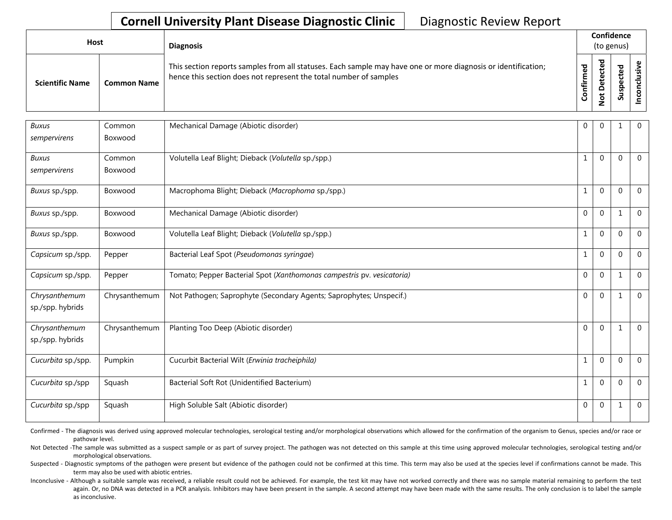| Host                   |                    | <b>Diagnosis</b>                                                                                                                                                                   |                      | Confidence<br>(to genus)                              |                    |  |
|------------------------|--------------------|------------------------------------------------------------------------------------------------------------------------------------------------------------------------------------|----------------------|-------------------------------------------------------|--------------------|--|
| <b>Scientific Name</b> | <b>Common Name</b> | This section reports samples from all statuses. Each sample may have one or more diagnosis or identification;<br>hence this section does not represent the total number of samples | ᇃ<br>ω<br>Ē<br>onfir | ᅙ<br>$\mathbf \omega$<br>ں<br>ق<br>ÒΨ<br>$\circ$<br>Ž | ъ<br>ن<br>ဒူ<br>వె |  |

| <b>Buxus</b>       | Common        | Mechanical Damage (Abiotic disorder)                                   | 0            | $\mathbf 0$  | 1            | $\mathbf{0}$   |
|--------------------|---------------|------------------------------------------------------------------------|--------------|--------------|--------------|----------------|
| sempervirens       | Boxwood       |                                                                        |              |              |              |                |
| <b>Buxus</b>       | Common        | Volutella Leaf Blight; Dieback (Volutella sp./spp.)                    | 1            | $\mathbf 0$  | $\mathbf 0$  | $\mathbf{0}$   |
| sempervirens       | Boxwood       |                                                                        |              |              |              |                |
| Buxus sp./spp.     | Boxwood       | Macrophoma Blight; Dieback (Macrophoma sp./spp.)                       | $\mathbf{1}$ | $\mathbf{0}$ | $\mathbf 0$  | $\mathbf{0}$   |
| Buxus sp./spp.     | Boxwood       | Mechanical Damage (Abiotic disorder)                                   | 0            | 0            | 1            | $\Omega$       |
| Buxus sp./spp.     | Boxwood       | Volutella Leaf Blight; Dieback (Volutella sp./spp.)                    | 1            | 0            | $\mathbf 0$  | $\Omega$       |
| Capsicum sp./spp.  | Pepper        | Bacterial Leaf Spot (Pseudomonas syringae)                             | $\mathbf{1}$ | $\mathbf{0}$ | $\mathbf 0$  | $\Omega$       |
| Capsicum sp./spp.  | Pepper        | Tomato; Pepper Bacterial Spot (Xanthomonas campestris pv. vesicatoria) | 0            | 0            | $\mathbf{1}$ | $\Omega$       |
| Chrysanthemum      | Chrysanthemum | Not Pathogen; Saprophyte (Secondary Agents; Saprophytes; Unspecif.)    | 0            | $\mathbf{0}$ | $\mathbf{1}$ | $\mathbf 0$    |
| sp./spp. hybrids   |               |                                                                        |              |              |              |                |
| Chrysanthemum      | Chrysanthemum | Planting Too Deep (Abiotic disorder)                                   | 0            | $\mathbf{0}$ | 1            | $\mathbf 0$    |
| sp./spp. hybrids   |               |                                                                        |              |              |              |                |
| Cucurbita sp./spp. | Pumpkin       | Cucurbit Bacterial Wilt (Erwinia tracheiphila)                         | $\mathbf{1}$ | 0            | $\mathbf 0$  | $\overline{0}$ |
| Cucurbita sp./spp  | Squash        | Bacterial Soft Rot (Unidentified Bacterium)                            | 1            | 0            | $\mathbf 0$  | $\mathbf{0}$   |
| Cucurbita sp./spp  | Squash        | High Soluble Salt (Abiotic disorder)                                   | 0            | 0            | 1            | $\mathbf 0$    |

Confirmed - The diagnosis was derived using approved molecular technologies, serological testing and/or morphological observations which allowed for the confirmation of the organism to Genus, species and/or race or pathovar level.

Not Detected -The sample was submitted as a suspect sample or as part of survey project. The pathogen was not detected on this sample at this time using approved molecular technologies, serological testing and/or morphological observations.

Suspected - Diagnostic symptoms of the pathogen were present but evidence of the pathogen could not be confirmed at this time. This term may also be used at the species level if confirmations cannot be made. This term may also be used with abiotic entries.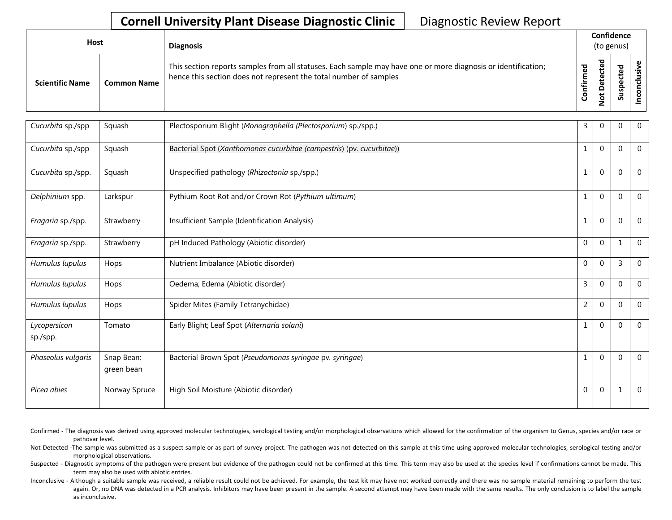| Host                   |                    | <b>Diagnosis</b>                                                                                                                                                                   |                                 |                                | Confidence<br>(to genus) |  |
|------------------------|--------------------|------------------------------------------------------------------------------------------------------------------------------------------------------------------------------------|---------------------------------|--------------------------------|--------------------------|--|
| <b>Scientific Name</b> | <b>Common Name</b> | This section reports samples from all statuses. Each sample may have one or more diagnosis or identification;<br>hence this section does not represent the total number of samples | $\mathbf{\sigma}$<br>e<br>onfir | ᅙ<br>ு<br>ں<br>ete<br><u>ខ</u> | ਠ<br>ن<br>ဒ္ဓ<br>◡<br>S  |  |

| Cucurbita sp./spp  | Squash                   | Plectosporium Blight (Monographella (Plectosporium) sp./spp.)         | 3              | $\mathbf 0$  | $\mathbf 0$      | $\mathbf 0$    |
|--------------------|--------------------------|-----------------------------------------------------------------------|----------------|--------------|------------------|----------------|
| Cucurbita sp./spp  | Squash                   | Bacterial Spot (Xanthomonas cucurbitae (campestris) (pv. cucurbitae)) | 1              | $\mathbf{0}$ | $\mathbf 0$      | $\Omega$       |
| Cucurbita sp./spp. | Squash                   | Unspecified pathology (Rhizoctonia sp./spp.)                          | 1              | $\mathbf{0}$ | $\boldsymbol{0}$ | $\mathbf 0$    |
| Delphinium spp.    | Larkspur                 | Pythium Root Rot and/or Crown Rot (Pythium ultimum)                   | $\mathbf 1$    | $\mathbf 0$  | $\boldsymbol{0}$ | $\mathbf 0$    |
| Fragaria sp./spp.  | Strawberry               | Insufficient Sample (Identification Analysis)                         | 1              | $\mathbf 0$  | $\boldsymbol{0}$ | $\mathbf{0}$   |
| Fragaria sp./spp.  | Strawberry               | pH Induced Pathology (Abiotic disorder)                               | $\Omega$       | $\mathbf{0}$ | 1                | $\mathbf 0$    |
| Humulus lupulus    | Hops                     | Nutrient Imbalance (Abiotic disorder)                                 | $\overline{0}$ | $\mathbf{0}$ | $\overline{3}$   | $\Omega$       |
| Humulus lupulus    | Hops                     | Oedema; Edema (Abiotic disorder)                                      | 3              | $\mathbf{0}$ | $\mathbf{0}$     | $\mathbf{0}$   |
| Humulus lupulus    | Hops                     | Spider Mites (Family Tetranychidae)                                   | $\overline{2}$ | $\Omega$     | $\mathbf{0}$     | $\mathbf 0$    |
| Lycopersicon       | Tomato                   | Early Blight; Leaf Spot (Alternaria solani)                           | 1              | $\mathbf{0}$ | $\boldsymbol{0}$ | $\mathbf{0}$   |
| sp./spp.           |                          |                                                                       |                |              |                  |                |
| Phaseolus vulgaris | Snap Bean;<br>green bean | Bacterial Brown Spot (Pseudomonas syringae pv. syringae)              | $\mathbf{1}$   | $\mathbf 0$  | $\boldsymbol{0}$ | $\overline{0}$ |
| Picea abies        | Norway Spruce            | High Soil Moisture (Abiotic disorder)                                 | $\overline{0}$ | $\mathbf{0}$ | 1                | $\mathbf 0$    |

- Confirmed The diagnosis was derived using approved molecular technologies, serological testing and/or morphological observations which allowed for the confirmation of the organism to Genus, species and/or race or pathovar level.
- Not Detected -The sample was submitted as a suspect sample or as part of survey project. The pathogen was not detected on this sample at this time using approved molecular technologies, serological testing and/or morphological observations.
- Suspected Diagnostic symptoms of the pathogen were present but evidence of the pathogen could not be confirmed at this time. This term may also be used at the species level if confirmations cannot be made. This term may also be used with abiotic entries.
- Inconclusive Although a suitable sample was received, a reliable result could not be achieved. For example, the test kit may have not worked correctly and there was no sample material remaining to perform the test again. Or, no DNA was detected in a PCR analysis. Inhibitors may have been present in the sample. A second attempt may have been made with the same results. The only conclusion is to label the sample as inconclusive.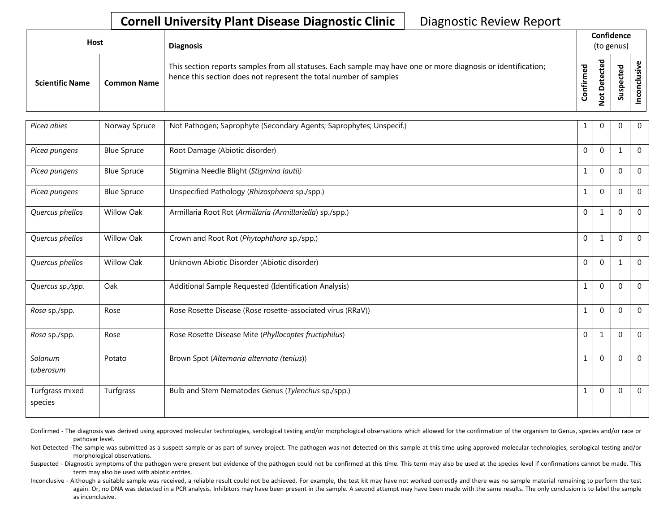| <b>Host</b>            |                    | <b>Diagnosis</b>                                                                                                                                                                   |               | Confidence<br>(to genus) |                                      |   |  |
|------------------------|--------------------|------------------------------------------------------------------------------------------------------------------------------------------------------------------------------------|---------------|--------------------------|--------------------------------------|---|--|
| <b>Scientific Name</b> | <b>Common Name</b> | This section reports samples from all statuses. Each sample may have one or more diagnosis or identification;<br>hence this section does not represent the total number of samples | ᇴ<br>tir<br>U | ᇃ<br>ω<br>پ<br>۰<br>∼    | ठ<br>ω<br>ن<br>ω<br>௨<br>s<br>Б<br>S | ں |  |

| Picea abies                | Norway Spruce      | Not Pathogen; Saprophyte (Secondary Agents; Saprophytes; Unspecif.) | 1              | $\mathbf{0}$ | $\mathbf{0}$     | $\mathbf 0$      |
|----------------------------|--------------------|---------------------------------------------------------------------|----------------|--------------|------------------|------------------|
| Picea pungens              | <b>Blue Spruce</b> | Root Damage (Abiotic disorder)                                      | $\overline{0}$ | $\mathbf{0}$ | 1                | $\boldsymbol{0}$ |
| Picea pungens              | <b>Blue Spruce</b> | Stigmina Needle Blight (Stigmina lautii)                            | 1              | $\mathbf{0}$ | $\mathbf 0$      | $\mathbf 0$      |
| Picea pungens              | <b>Blue Spruce</b> | Unspecified Pathology (Rhizosphaera sp./spp.)                       | 1              | $\Omega$     | $\mathbf{0}$     | $\Omega$         |
| Quercus phellos            | <b>Willow Oak</b>  | Armillaria Root Rot (Armillaria (Armillariella) sp./spp.)           | $\mathbf{0}$   | 1            | 0                | $\Omega$         |
| Quercus phellos            | <b>Willow Oak</b>  | Crown and Root Rot (Phytophthora sp./spp.)                          | $\overline{0}$ | 1            | $\boldsymbol{0}$ | $\boldsymbol{0}$ |
| Quercus phellos            | <b>Willow Oak</b>  | Unknown Abiotic Disorder (Abiotic disorder)                         | $\overline{0}$ | $\mathbf{0}$ | 1                | $\boldsymbol{0}$ |
| Quercus sp./spp.           | Oak                | Additional Sample Requested (Identification Analysis)               | 1              | $\mathbf 0$  | 0                | $\mathbf 0$      |
| Rosa sp./spp.              | Rose               | Rose Rosette Disease (Rose rosette-associated virus (RRaV))         | 1              | $\mathbf{0}$ | $\mathbf{0}$     | $\mathbf 0$      |
| Rosa sp./spp.              | Rose               | Rose Rosette Disease Mite (Phyllocoptes fructiphilus)               | $\mathbf{0}$   | 1            | $\mathbf{0}$     | $\mathbf 0$      |
| Solanum<br>tuberosum       | Potato             | Brown Spot (Alternaria alternata (tenius))                          | 1              | $\mathbf{0}$ | $\mathbf 0$      | $\Omega$         |
| Turfgrass mixed<br>species | Turfgrass          | Bulb and Stem Nematodes Genus (Tylenchus sp./spp.)                  |                | $\Omega$     | 0                | $\Omega$         |

Confirmed - The diagnosis was derived using approved molecular technologies, serological testing and/or morphological observations which allowed for the confirmation of the organism to Genus, species and/or race or pathovar level.

Not Detected -The sample was submitted as a suspect sample or as part of survey project. The pathogen was not detected on this sample at this time using approved molecular technologies, serological testing and/or morphological observations.

Suspected - Diagnostic symptoms of the pathogen were present but evidence of the pathogen could not be confirmed at this time. This term may also be used at the species level if confirmations cannot be made. This term may also be used with abiotic entries.